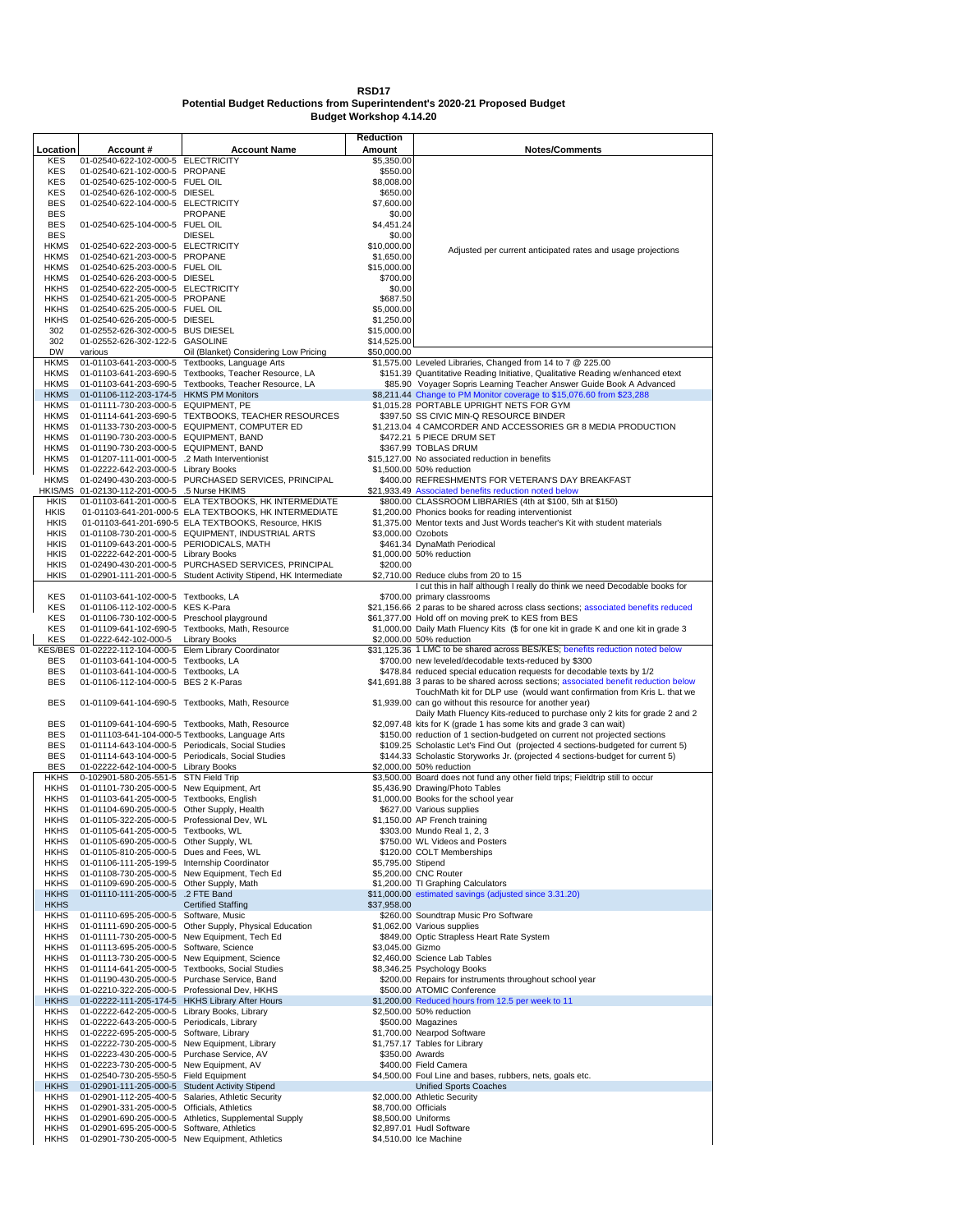## **RSD17 Potential Budget Reductions from Superintendent's 2020-21 Proposed Budget**

**Budget Workshop 4.14.20**

| Location                   | Account #                                                                                  | <b>Account Name</b>                                                                                      | Reduction<br>Amount        | <b>Notes/Comments</b>                                                                                                                                              |
|----------------------------|--------------------------------------------------------------------------------------------|----------------------------------------------------------------------------------------------------------|----------------------------|--------------------------------------------------------------------------------------------------------------------------------------------------------------------|
| KES                        | 01-02540-622-102-000-5 ELECTRICITY                                                         |                                                                                                          | \$5,350.00                 |                                                                                                                                                                    |
| KES                        | 01-02540-621-102-000-5 PROPANE                                                             |                                                                                                          | \$550.00                   |                                                                                                                                                                    |
| KES                        | 01-02540-625-102-000-5 FUEL OIL                                                            |                                                                                                          | \$8,008.00                 |                                                                                                                                                                    |
| <b>KES</b><br><b>BES</b>   | 01-02540-626-102-000-5 DIESEL<br>01-02540-622-104-000-5 ELECTRICITY                        |                                                                                                          | \$650.00<br>\$7,600.00     |                                                                                                                                                                    |
| <b>BES</b>                 |                                                                                            | <b>PROPANE</b>                                                                                           | \$0.00                     |                                                                                                                                                                    |
| <b>BES</b>                 | 01-02540-625-104-000-5 FUEL OIL                                                            |                                                                                                          | \$4,451.24                 |                                                                                                                                                                    |
| <b>BES</b>                 |                                                                                            | <b>DIESEL</b>                                                                                            | \$0.00                     |                                                                                                                                                                    |
| <b>HKMS</b>                | 01-02540-622-203-000-5 ELECTRICITY                                                         |                                                                                                          | \$10,000.00                | Adjusted per current anticipated rates and usage projections                                                                                                       |
| <b>HKMS</b><br><b>HKMS</b> | 01-02540-621-203-000-5 PROPANE                                                             |                                                                                                          | \$1,650.00<br>\$15,000.00  |                                                                                                                                                                    |
| <b>HKMS</b>                | 01-02540-625-203-000-5 FUEL OIL<br>01-02540-626-203-000-5 DIESEL                           |                                                                                                          | \$700.00                   |                                                                                                                                                                    |
| <b>HKHS</b>                | 01-02540-622-205-000-5 ELECTRICITY                                                         |                                                                                                          | \$0.00                     |                                                                                                                                                                    |
| <b>HKHS</b>                | 01-02540-621-205-000-5 PROPANE                                                             |                                                                                                          | \$687.50                   |                                                                                                                                                                    |
| <b>HKHS</b>                | 01-02540-625-205-000-5 FUEL OIL                                                            |                                                                                                          | \$5,000.00                 |                                                                                                                                                                    |
| HKHS                       | 01-02540-626-205-000-5 DIESEL                                                              |                                                                                                          | \$1,250.00                 |                                                                                                                                                                    |
| 302<br>302                 | 01-02552-626-302-000-5 BUS DIESEL<br>01-02552-626-302-122-5 GASOLINE                       |                                                                                                          | \$15,000.00<br>\$14,525.00 |                                                                                                                                                                    |
| DW                         | various                                                                                    | Oil (Blanket) Considering Low Pricing                                                                    | \$50,000.00                |                                                                                                                                                                    |
| <b>HKMS</b>                |                                                                                            | 01-01103-641-203-000-5 Textbooks, Language Arts                                                          |                            | \$1,575.00 Leveled Libraries, Changed from 14 to 7 @ 225.00                                                                                                        |
| <b>HKMS</b>                |                                                                                            | 01-01103-641-203-690-5 Textbooks, Teacher Resource, LA                                                   |                            | \$151.39 Quantitative Reading Initiative, Qualitative Reading w/enhanced etext                                                                                     |
| <b>HKMS</b>                | 01-01103-641-203-690-5                                                                     | Textbooks, Teacher Resource, LA                                                                          |                            | \$85.90 Voyager Sopris Learning Teacher Answer Guide Book A Advanced                                                                                               |
| <b>HKMS</b><br><b>HKMS</b> | 01-01106-112-203-174-5 HKMS PM Monitors<br>01-01111-730-203-000-5 EQUIPMENT, PE            |                                                                                                          |                            | \$8,211.44 Change to PM Monitor coverage to \$15,076.60 from \$23,288<br>\$1,015.28 PORTABLE UPRIGHT NETS FOR GYM                                                  |
| <b>HKMS</b>                |                                                                                            | 01-01114-641-203-690-5 TEXTBOOKS, TEACHER RESOURCES                                                      |                            | \$397.50 SS CIVIC MIN-Q RESOURCE BINDER                                                                                                                            |
| <b>HKMS</b>                |                                                                                            | 01-01133-730-203-000-5 EQUIPMENT, COMPUTER ED                                                            |                            | \$1,213.04 4 CAMCORDER AND ACCESSORIES GR 8 MEDIA PRODUCTION                                                                                                       |
| <b>HKMS</b>                | 01-01190-730-203-000-5 EQUIPMENT, BAND                                                     |                                                                                                          |                            | \$472.21 5 PIECE DRUM SET                                                                                                                                          |
| <b>HKMS</b>                | 01-01190-730-203-000-5 EQUIPMENT, BAND                                                     |                                                                                                          |                            | \$367.99 TOBLAS DRUM                                                                                                                                               |
| <b>HKMS</b>                | 01-01207-111-001-000-5                                                                     | .2 Math Interventionist                                                                                  |                            | \$15,127.00 No associated reduction in benefits                                                                                                                    |
| <b>HKMS</b><br><b>HKMS</b> | 01-02222-642-203-000-5 Library Books                                                       | 01-02490-430-203-000-5 PURCHASED SERVICES, PRINCIPAL                                                     |                            | \$1,500.00 50% reduction<br>\$400.00 REFRESHMENTS FOR VETERAN'S DAY BREAKFAST                                                                                      |
| HKIS/MS                    | 01-02130-112-201-000-5 .5 Nurse HKIMS                                                      |                                                                                                          |                            | \$21,933.49 Associated benefits reduction noted below                                                                                                              |
| <b>HKIS</b>                |                                                                                            | 01-01103-641-201-000-5 ELA TEXTBOOKS, HK INTERMEDIATE                                                    |                            | \$800.00 CLASSROOM LIBRARIES (4th at \$100, 5th at \$150)                                                                                                          |
| HKIS                       |                                                                                            | 01-01103-641-201-000-5 ELA TEXTBOOKS, HK INTERMEDIATE                                                    |                            | \$1,200.00 Phonics books for reading interventionist                                                                                                               |
| <b>HKIS</b>                |                                                                                            | 01-01103-641-201-690-5 ELA TEXTBOOKS, Resource, HKIS                                                     |                            | \$1,375.00 Mentor texts and Just Words teacher's Kit with student materials                                                                                        |
| <b>HKIS</b>                |                                                                                            | 01-01108-730-201-000-5 EQUIPMENT, INDUSTRIAL ARTS                                                        | \$3,000.00 Ozobots         |                                                                                                                                                                    |
| <b>HKIS</b><br><b>HKIS</b> | 01-01109-643-201-000-5 PERIODICALS, MATH<br>01-02222-642-201-000-5 Library Books           |                                                                                                          |                            | \$461.34 DynaMath Periodical<br>\$1,000.00 50% reduction                                                                                                           |
| <b>HKIS</b>                |                                                                                            | 01-02490-430-201-000-5 PURCHASED SERVICES, PRINCIPAL                                                     | \$200.00                   |                                                                                                                                                                    |
| <b>HKIS</b>                |                                                                                            | 01-02901-111-201-000-5 Student Activity Stipend, HK Intermediate                                         |                            | \$2,710.00 Reduce clubs from 20 to 15                                                                                                                              |
|                            |                                                                                            |                                                                                                          |                            | I cut this in half although I really do think we need Decodable books for                                                                                          |
| KES                        | 01-01103-641-102-000-5 Textbooks, LA                                                       |                                                                                                          |                            | \$700.00 primary classrooms                                                                                                                                        |
| KES<br>KES                 | 01-01106-112-102-000-5 KES K-Para                                                          |                                                                                                          |                            | \$21,156.66 2 paras to be shared across class sections; associated benefits reduced                                                                                |
| KES                        | 01-01106-730-102-000-5 Preschool playground                                                | 01-01109-641-102-690-5 Textbooks, Math, Resource                                                         |                            | \$61,377.00 Hold off on moving preK to KES from BES<br>\$1,000.00 Daily Math Fluency Kits (\$ for one kit in grade K and one kit in grade 3                        |
| <b>KES</b>                 | 01-0222-642-102-000-5                                                                      | <b>Library Books</b>                                                                                     |                            | \$2,000.00 50% reduction                                                                                                                                           |
|                            | KES/BES 01-02222-112-104-000-5 Elem Library Coordinator                                    |                                                                                                          |                            | \$31,125.36 1 LMC to be shared across BES/KES; benefits reduction noted below                                                                                      |
| <b>BES</b>                 | 01-01103-641-104-000-5 Textbooks, LA                                                       |                                                                                                          |                            | \$700.00 new leveled/decodable texts-reduced by \$300                                                                                                              |
| <b>BES</b>                 | 01-01103-641-104-000-5 Textbooks, LA                                                       |                                                                                                          |                            | \$478.84 reduced special education requests for decodable texts by 1/2                                                                                             |
| <b>BES</b>                 | 01-01106-112-104-000-5 BES 2 K-Paras                                                       |                                                                                                          |                            | \$41,691.88 3 paras to be shared across sections; associated benefit reduction below<br>TouchMath kit for DLP use (would want confirmation from Kris L. that we    |
| <b>BES</b>                 |                                                                                            | 01-01109-641-104-690-5 Textbooks, Math, Resource                                                         |                            | \$1,939.00 can go without this resource for another year)                                                                                                          |
|                            |                                                                                            |                                                                                                          |                            | Daily Math Fluency Kits-reduced to purchase only 2 kits for grade 2 and 2                                                                                          |
| <b>BES</b>                 |                                                                                            | 01-01109-641-104-690-5 Textbooks, Math, Resource                                                         |                            | \$2,097.48 kits for K (grade 1 has some kits and grade 3 can wait)                                                                                                 |
| <b>BES</b>                 |                                                                                            | 01-011103-641-104-000-5 Textbooks, Language Arts                                                         |                            | \$150.00 reduction of 1 section-budgeted on current not projected sections                                                                                         |
| BES<br><b>BES</b>          |                                                                                            | 01-01114-643-104-000-5 Periodicals, Social Studies<br>01-01114-643-104-000-5 Periodicals, Social Studies |                            | \$109.25 Scholastic Let's Find Out (projected 4 sections-budgeted for current 5)<br>\$144.33 Scholastic Storyworks Jr. (projected 4 sections-budget for current 5) |
| <b>BES</b>                 | 01-02222-642-104-000-5 Library Books                                                       |                                                                                                          |                            | \$2,000.00 50% reduction                                                                                                                                           |
| HKHS                       | 0-102901-580-205-551-5 STN Field Trip                                                      |                                                                                                          |                            | \$3,500.00 Board does not fund any other field trips; Fieldtrip still to occur                                                                                     |
| <b>HKHS</b>                | 01-01101-730-205-000-5 New Equipment, Art                                                  |                                                                                                          |                            | \$5,436.90 Drawing/Photo Tables                                                                                                                                    |
| <b>HKHS</b>                | 01-01103-641-205-000-5 Textbooks, English                                                  |                                                                                                          |                            | \$1,000.00 Books for the school year                                                                                                                               |
| HKHS<br><b>HKHS</b>        | 01-01104-690-205-000-5 Other Supply, Health<br>01-01105-322-205-000-5 Professional Dev, WL |                                                                                                          |                            | \$627.00 Various supplies<br>\$1,150.00 AP French training                                                                                                         |
| HKHS                       | 01-01105-641-205-000-5 Textbooks, WL                                                       |                                                                                                          |                            | \$303.00 Mundo Real 1, 2, 3                                                                                                                                        |
| <b>HKHS</b>                | 01-01105-690-205-000-5 Other Supply, WL                                                    |                                                                                                          |                            | \$750.00 WL Videos and Posters                                                                                                                                     |
| HKHS                       | 01-01105-810-205-000-5 Dues and Fees, WL                                                   |                                                                                                          |                            | \$120.00 COLT Memberships                                                                                                                                          |
| HKHS                       | 01-01106-111-205-199-5 Internship Coordinator                                              |                                                                                                          | \$5,795.00 Stipend         |                                                                                                                                                                    |
| HKHS                       | 01-01108-730-205-000-5                                                                     | New Equipment, Tech Ed                                                                                   |                            | \$5,200.00 CNC Router                                                                                                                                              |
| HKHS<br><b>HKHS</b>        | 01-01109-690-205-000-5<br>01-01110-111-205-000-5                                           | Other Supply, Math<br>.2 FTE Band                                                                        |                            | \$1,200.00 TI Graphing Calculators<br>\$11,000.00 estimated savings (adjusted since 3.31.20)                                                                       |
| <b>HKHS</b>                |                                                                                            | <b>Certified Staffing</b>                                                                                | \$37,958.00                |                                                                                                                                                                    |
| <b>HKHS</b>                | 01-01110-695-205-000-5                                                                     | Software, Music                                                                                          |                            | \$260.00 Soundtrap Music Pro Software                                                                                                                              |
| <b>HKHS</b>                | 01-01111-690-205-000-5                                                                     | Other Supply, Physical Education                                                                         |                            | \$1,062.00 Various supplies                                                                                                                                        |
| HKHS                       | 01-01111-730-205-000-5                                                                     | New Equipment, Tech Ed                                                                                   |                            | \$849.00 Optic Strapless Heart Rate System                                                                                                                         |
| <b>HKHS</b>                | 01-01113-695-205-000-5                                                                     | Software, Science                                                                                        | \$3,045.00 Gizmo           | \$2,460.00 Science Lab Tables                                                                                                                                      |
| HKHS<br>HKHS               | 01-01113-730-205-000-5<br>01-01114-641-205-000-5                                           | New Equipment, Science<br>Textbooks, Social Studies                                                      |                            | \$8,346.25 Psychology Books                                                                                                                                        |
| HKHS                       | 01-01190-430-205-000-5                                                                     | Purchase Service, Band                                                                                   |                            | \$200.00 Repairs for instruments throughout school year                                                                                                            |
| <b>HKHS</b>                | 01-02210-322-205-000-5                                                                     | Professional Dev, HKHS                                                                                   |                            | \$500.00 ATOMIC Conference                                                                                                                                         |
| <b>HKHS</b>                | 01-02222-111-205-174-5                                                                     | <b>HKHS Library After Hours</b>                                                                          |                            | \$1,200.00 Reduced hours from 12.5 per week to 11                                                                                                                  |
| HKHS                       | 01-02222-642-205-000-5                                                                     | Library Books, Library                                                                                   |                            | \$2,500.00 50% reduction                                                                                                                                           |
| <b>HKHS</b><br>HKHS        | 01-02222-643-205-000-5<br>01-02222-695-205-000-5                                           | Periodicals, Library<br>Software, Library                                                                |                            | \$500.00 Magazines<br>\$1,700.00 Nearpod Software                                                                                                                  |
| HKHS                       | 01-02222-730-205-000-5                                                                     | New Equipment, Library                                                                                   |                            | \$1,757.17 Tables for Library                                                                                                                                      |
| HKHS                       | 01-02223-430-205-000-5                                                                     | Purchase Service, AV                                                                                     |                            | \$350.00 Awards                                                                                                                                                    |
| <b>HKHS</b>                | 01-02223-730-205-000-5                                                                     | New Equipment, AV                                                                                        |                            | \$400.00 Field Camera                                                                                                                                              |
| HKHS                       | 01-02540-730-205-550-5                                                                     | <b>Field Equipment</b>                                                                                   |                            | \$4,500.00 Foul Line and bases, rubbers, nets, goals etc.                                                                                                          |
| <b>HKHS</b>                | 01-02901-111-205-000-5                                                                     | <b>Student Activity Stipend</b>                                                                          |                            | Unified Sports Coaches                                                                                                                                             |
| HKHS<br>HKHS               | 01-02901-112-205-400-5<br>01-02901-331-205-000-5                                           | Salaries, Athletic Security<br>Officials, Athletics                                                      | \$8,700.00 Officials       | \$2,000.00 Athletic Security                                                                                                                                       |
| HKHS                       | 01-02901-690-205-000-5                                                                     | Athletics, Supplemental Supply                                                                           | \$8,500.00 Uniforms        |                                                                                                                                                                    |
| HKHS                       | 01-02901-695-205-000-5                                                                     | Software, Athletics                                                                                      |                            | \$2,897.01 Hudl Software                                                                                                                                           |
| <b>HKHS</b>                |                                                                                            | 01-02901-730-205-000-5 New Equipment, Athletics                                                          |                            | \$4,510.00 Ice Machine                                                                                                                                             |